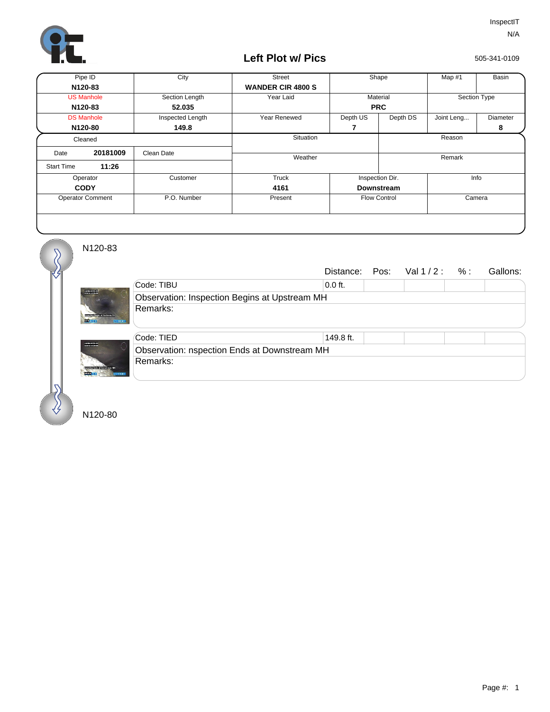

## **Left Plot w/ Pics**

505-341-0109

| Pipe ID                 |          | City             | <b>Street</b>            | Shape               |          | Map #1       | Basin    |
|-------------------------|----------|------------------|--------------------------|---------------------|----------|--------------|----------|
| N120-83                 |          |                  | <b>WANDER CIR 4800 S</b> |                     |          |              |          |
| <b>US Manhole</b>       |          | Section Length   | Year Laid                | Material            |          | Section Type |          |
| N120-83                 |          | 52.035           |                          | <b>PRC</b>          |          |              |          |
| <b>DS Manhole</b>       |          | Inspected Length | Year Renewed             | Depth US            | Depth DS | Joint Leng   | Diameter |
| N120-80                 |          | 149.8            |                          | 7                   |          |              | 8        |
| Cleaned                 |          |                  | Situation                |                     |          | Reason       |          |
| Date                    | 20181009 | Clean Date       |                          |                     |          |              |          |
| <b>Start Time</b>       | 11:26    |                  | Weather                  |                     |          | Remark       |          |
| Operator                |          | Customer         | Truck                    | Inspection Dir.     |          | Info         |          |
| <b>CODY</b>             |          |                  | 4161                     | <b>Downstream</b>   |          |              |          |
| <b>Operator Comment</b> |          | P.O. Number      | Present                  | <b>Flow Control</b> |          | Camera       |          |
|                         |          |                  |                          |                     |          |              |          |

N120-83

-------

 $\overline{\mathcal{S}}$ 

|                                               |           |  | Distance: Pos: $Val1/2: %:$ |  | Gallons: |  |  |
|-----------------------------------------------|-----------|--|-----------------------------|--|----------|--|--|
| Code: TIBU                                    | $0.0$ ft. |  |                             |  |          |  |  |
| Observation: Inspection Begins at Upstream MH |           |  |                             |  |          |  |  |
| Remarks:<br><b>REMOVAL</b>                    |           |  |                             |  |          |  |  |
| Code: TIED                                    | 149.8 ft. |  |                             |  |          |  |  |
| Observation: nspection Ends at Downstream MH  |           |  |                             |  |          |  |  |
| Remarks:<br><b>REMIXE</b>                     |           |  |                             |  |          |  |  |

N120-80

ana.